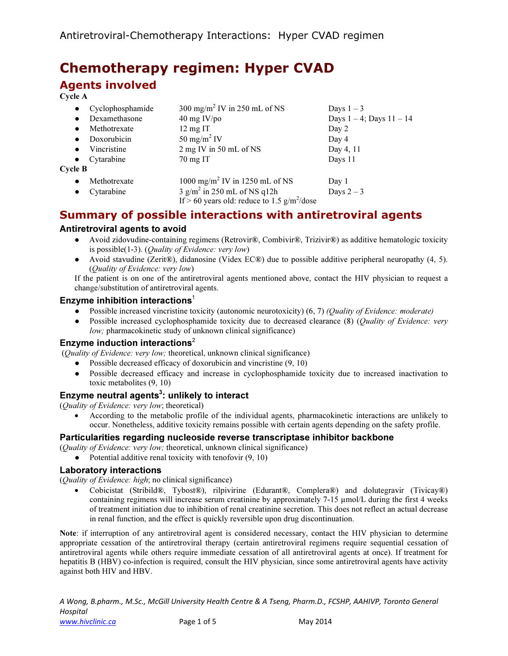# Chemotherapy regimen: Hyper CVAD Agents involved

### Cycle A

| $\bullet$      | Cyclophosphamide | 300 mg/m <sup>2</sup> IV in 250 mL of NS       | Days $1-3$                    |
|----------------|------------------|------------------------------------------------|-------------------------------|
| $\bullet$      | Dexamethasone    | $40 \text{ mg}$ IV/po                          | Days $1 - 4$ ; Days $11 - 14$ |
| $\bullet$      | Methotrexate     | $12 \text{ mg}$ IT                             | Day 2                         |
| $\bullet$      | Doxorubicin      | 50 mg/m <sup>2</sup> IV                        | Day 4                         |
| $\bullet$      | Vincristine      | 2 mg IV in 50 mL of NS                         | Day 4, 11                     |
| $\bullet$      | Cytarabine       | $70 \text{ mg}$ IT                             | Days 11                       |
| <b>Cycle B</b> |                  |                                                |                               |
| $\bullet$      | Methotrexate     | 1000 mg/m <sup>2</sup> IV in 1250 mL of NS     | Day 1                         |
| $\bullet$      | Cytarabine       | $3$ g/m <sup>2</sup> in 250 mL of NS q12h      | Days $2-3$                    |
|                |                  | If > 60 years old: reduce to 1.5 $g/m^2$ /dose |                               |

# Summary of possible interactions with antiretroviral agents

### Antiretroviral agents to avoid

- Avoid zidovudine-containing regimens (Retrovir®, Combivir®, Trizivir®) as additive hematologic toxicity is possible(1-3). (Quality of Evidence: very low)
- Avoid stavudine (Zerit®), didanosine (Videx EC®) due to possible additive peripheral neuropathy (4, 5). (Quality of Evidence: very low)

If the patient is on one of the antiretroviral agents mentioned above, contact the HIV physician to request a change/substitution of antiretroviral agents.

#### Enzyme inhibition interactions<sup>1</sup>

- Possible increased vincristine toxicity (autonomic neurotoxicity) (6, 7) (Quality of Evidence: moderate)
- Possible increased cyclophosphamide toxicity due to decreased clearance (8) (*Quality of Evidence: very* low; pharmacokinetic study of unknown clinical significance)

#### Enzyme induction interactions<sup>2</sup>

(Quality of Evidence: very low; theoretical, unknown clinical significance)

- Possible decreased efficacy of doxorubicin and vincristine (9, 10)
- Possible decreased efficacy and increase in cyclophosphamide toxicity due to increased inactivation to toxic metabolites (9, 10)

### Enzyme neutral agents $^3$ : unlikely to interact

(Quality of Evidence: very low; theoretical)

• According to the metabolic profile of the individual agents, pharmacokinetic interactions are unlikely to occur. Nonetheless, additive toxicity remains possible with certain agents depending on the safety profile.

#### Particularities regarding nucleoside reverse transcriptase inhibitor backbone

(Quality of Evidence: very low; theoretical, unknown clinical significance)

• Potential additive renal toxicity with tenofovir  $(9, 10)$ 

#### Laboratory interactions

(Quality of Evidence: high; no clinical significance)

• Cobicistat (Stribild®, Tybost®), rilpivirine (Edurant®, Complera®) and dolutegravir (Tivicay®) containing regimens will increase serum creatinine by approximately 7-15 µmol/L during the first 4 weeks of treatment initiation due to inhibition of renal creatinine secretion. This does not reflect an actual decrease in renal function, and the effect is quickly reversible upon drug discontinuation.

Note: if interruption of any antiretroviral agent is considered necessary, contact the HIV physician to determine appropriate cessation of the antiretroviral therapy (certain antiretroviral regimens require sequential cessation of antiretroviral agents while others require immediate cessation of all antiretroviral agents at once). If treatment for hepatitis B (HBV) co-infection is required, consult the HIV physician, since some antiretroviral agents have activity against both HIV and HBV.

A Wong, B.pharm., M.Sc., McGill University Health Centre & A Tseng, Pharm.D., FCSHP, AAHIVP, Toronto General Hospital www.hivclinic.ca **Page 1 of 5** May 2014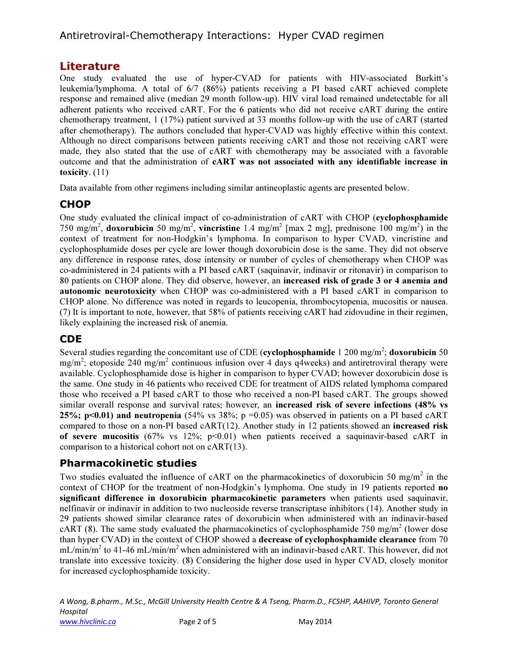# Antiretroviral-Chemotherapy Interactions: Hyper CVAD regimen

### Literature

One study evaluated the use of hyper-CVAD for patients with HIV-associated Burkitt's leukemia/lymphoma. A total of 6/7 (86%) patients receiving a PI based cART achieved complete response and remained alive (median 29 month follow-up). HIV viral load remained undetectable for all adherent patients who received cART. For the 6 patients who did not receive cART during the entire chemotherapy treatment, 1 (17%) patient survived at 33 months follow-up with the use of cART (started after chemotherapy). The authors concluded that hyper-CVAD was highly effective within this context. Although no direct comparisons between patients receiving cART and those not receiving cART were made, they also stated that the use of cART with chemotherapy may be associated with a favorable outcome and that the administration of cART was not associated with any identifiable increase in toxicity. (11)

Data available from other regimens including similar antineoplastic agents are presented below.

# **CHOP**

One study evaluated the clinical impact of co-administration of cART with CHOP (cyclophosphamide 750 mg/m<sup>2</sup>, doxorubicin 50 mg/m<sup>2</sup>, vincristine 1.4 mg/m<sup>2</sup> [max 2 mg], prednisone 100 mg/m<sup>2</sup>) in the context of treatment for non-Hodgkin's lymphoma. In comparison to hyper CVAD, vincristine and cyclophosphamide doses per cycle are lower though doxorubicin dose is the same. They did not observe any difference in response rates, dose intensity or number of cycles of chemotherapy when CHOP was co-administered in 24 patients with a PI based cART (saquinavir, indinavir or ritonavir) in comparison to 80 patients on CHOP alone. They did observe, however, an increased risk of grade 3 or 4 anemia and autonomic neurotoxicity when CHOP was co-administered with a PI based cART in comparison to CHOP alone. No difference was noted in regards to leucopenia, thrombocytopenia, mucositis or nausea. (7) It is important to note, however, that 58% of patients receiving cART had zidovudine in their regimen, likely explaining the increased risk of anemia.

# CDE

Several studies regarding the concomitant use of CDE (cyclophosphamide  $1200 \text{ mg/m}^2$ ; doxorubicin 50 mg/m<sup>2</sup>; etoposide 240 mg/m<sup>2</sup> continuous infusion over 4 days q4weeks) and antiretroviral therapy were available. Cyclophosphamide dose is higher in comparison to hyper CVAD; however doxorubicin dose is the same. One study in 46 patients who received CDE for treatment of AIDS related lymphoma compared those who received a PI based cART to those who received a non-PI based cART. The groups showed similar overall response and survival rates; however, an **increased risk of severe infections (48% vs 25%; p<0.01) and neutropenia** (54% vs 38%; p =0.05) was observed in patients on a PI based cART compared to those on a non-PI based cART(12). Another study in 12 patients showed an increased risk of severe mucositis (67% vs 12%;  $p<0.01$ ) when patients received a saquinavir-based cART in comparison to a historical cohort not on cART(13).

# Pharmacokinetic studies

Two studies evaluated the influence of cART on the pharmacokinetics of doxorubicin 50 mg/m<sup>2</sup> in the context of CHOP for the treatment of non-Hodgkin's lymphoma. One study in 19 patients reported no significant difference in doxorubicin pharmacokinetic parameters when patients used saquinavir, nelfinavir or indinavir in addition to two nucleoside reverse transcriptase inhibitors (14). Another study in 29 patients showed similar clearance rates of doxorubicin when administered with an indinavir-based  $cART (8)$ . The same study evaluated the pharmacokinetics of cyclophosphamide 750 mg/m<sup>2</sup> (lower dose than hyper CVAD) in the context of CHOP showed a decrease of cyclophosphamide clearance from 70 mL/min/m<sup>2</sup> to 41-46 mL/min/m<sup>2</sup> when administered with an indinavir-based cART. This however, did not translate into excessive toxicity. (8) Considering the higher dose used in hyper CVAD, closely monitor for increased cyclophosphamide toxicity.

A Wong, B.pharm., M.Sc., McGill University Health Centre & A Tseng, Pharm.D., FCSHP, AAHIVP, Toronto General Hospital www.hivclinic.ca **Page 2 of 5** May 2014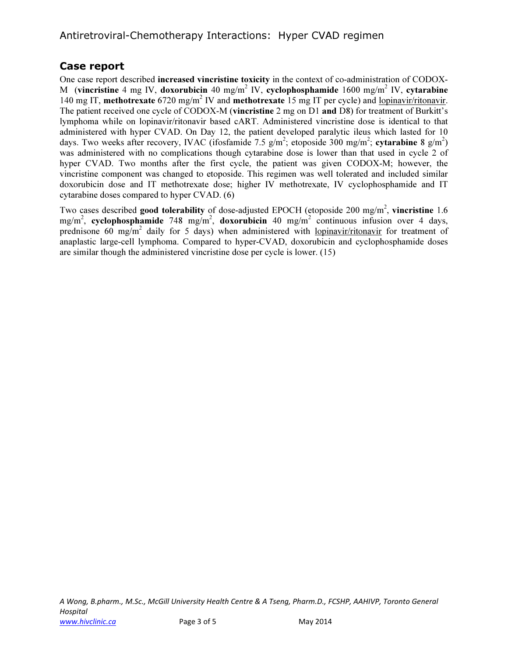# Case report

One case report described increased vincristine toxicity in the context of co-administration of CODOX-M (vincristine 4 mg IV, doxorubicin 40 mg/m<sup>2</sup> IV, cyclophosphamide 1600 mg/m<sup>2</sup> IV, cytarabine 140 mg IT, methotrexate 6720 mg/m<sup>2</sup> IV and methotrexate 15 mg IT per cycle) and <u>lopinavir/ritonavir</u>. The patient received one cycle of CODOX-M (vincristine 2 mg on D1 and D8) for treatment of Burkitt's lymphoma while on lopinavir/ritonavir based cART. Administered vincristine dose is identical to that administered with hyper CVAD. On Day 12, the patient developed paralytic ileus which lasted for 10 days. Two weeks after recovery, IVAC (ifosfamide 7.5  $g/m^2$ ; etoposide 300 mg/m<sup>2</sup>; cytarabine 8  $g/m^2$ ) was administered with no complications though cytarabine dose is lower than that used in cycle 2 of hyper CVAD. Two months after the first cycle, the patient was given CODOX-M; however, the vincristine component was changed to etoposide. This regimen was well tolerated and included similar doxorubicin dose and IT methotrexate dose; higher IV methotrexate, IV cyclophosphamide and IT cytarabine doses compared to hyper CVAD. (6)

Two cases described good tolerability of dose-adjusted EPOCH (etoposide 200 mg/m<sup>2</sup>, vincristine 1.6 mg/m<sup>2</sup>, cyclophosphamide 748 mg/m<sup>2</sup>, doxorubicin 40 mg/m<sup>2</sup> continuous infusion over 4 days, prednisone 60 mg/m<sup>2</sup> daily for 5 days) when administered with <u>lopinavir/ritonavir</u> for treatment of anaplastic large-cell lymphoma. Compared to hyper-CVAD, doxorubicin and cyclophosphamide doses are similar though the administered vincristine dose per cycle is lower. (15)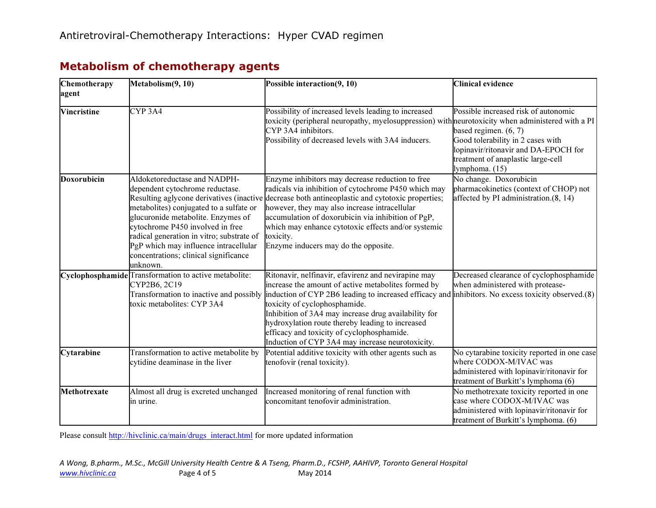| Chemotherapy<br>agent | Metabolism(9, 10)                                                                                                                                                                                                                                                                                                               | Possible interaction(9, 10)                                                                                                                                                                                                                                                                                                                                                                                                                                     | <b>Clinical evidence</b>                                                                                                                                                                             |
|-----------------------|---------------------------------------------------------------------------------------------------------------------------------------------------------------------------------------------------------------------------------------------------------------------------------------------------------------------------------|-----------------------------------------------------------------------------------------------------------------------------------------------------------------------------------------------------------------------------------------------------------------------------------------------------------------------------------------------------------------------------------------------------------------------------------------------------------------|------------------------------------------------------------------------------------------------------------------------------------------------------------------------------------------------------|
| <b>Vincristine</b>    | CYP <sub>3A4</sub>                                                                                                                                                                                                                                                                                                              | Possibility of increased levels leading to increased<br>toxicity (peripheral neuropathy, myelosuppression) with neurotoxicity when administered with a PI<br>CYP 3A4 inhibitors.<br>Possibility of decreased levels with 3A4 inducers.                                                                                                                                                                                                                          | Possible increased risk of autonomic<br>based regimen. $(6, 7)$<br>Good tolerability in 2 cases with<br>lopinavir/ritonavir and DA-EPOCH for<br>treatment of anaplastic large-cell<br>lymphoma. (15) |
| Doxorubicin           | Aldoketoreductase and NADPH-<br>dependent cytochrome reductase.<br>metabolites) conjugated to a sulfate or<br>glucuronide metabolite. Enzymes of<br>cytochrome P450 involved in free<br>radical generation in vitro; substrate of<br>PgP which may influence intracellular<br>concentrations; clinical significance<br>unknown. | Enzyme inhibitors may decrease reduction to free<br>radicals via inhibition of cytochrome P450 which may<br>Resulting aglycone derivatives (inactive decrease both antineoplastic and cytotoxic properties;<br>however, they may also increase intracellular<br>accumulation of doxorubicin via inhibition of PgP,<br>which may enhance cytotoxic effects and/or systemic<br>toxicity.<br>Enzyme inducers may do the opposite.                                  | No change. Doxorubicin<br>pharmacokinetics (context of CHOP) not<br>affected by PI administration.(8, 14)                                                                                            |
|                       | Cyclophosphamide Transformation to active metabolite:<br>CYP2B6, 2C19<br>Transformation to inactive and possibly<br>toxic metabolites: CYP 3A4                                                                                                                                                                                  | Ritonavir, nelfinavir, efavirenz and nevirapine may<br>increase the amount of active metabolites formed by<br>induction of CYP 2B6 leading to increased efficacy and inhibitors. No excess toxicity observed.(8)<br>toxicity of cyclophosphamide.<br>Inhibition of 3A4 may increase drug availability for<br>hydroxylation route thereby leading to increased<br>efficacy and toxicity of cyclophosphamide.<br>Induction of CYP 3A4 may increase neurotoxicity. | Decreased clearance of cyclophosphamide<br>when administered with protease-                                                                                                                          |
| Cytarabine            | Transformation to active metabolite by<br>cytidine deaminase in the liver                                                                                                                                                                                                                                                       | Potential additive toxicity with other agents such as<br>tenofovir (renal toxicity).                                                                                                                                                                                                                                                                                                                                                                            | No cytarabine toxicity reported in one case<br>where CODOX-M/IVAC was<br>administered with lopinavir/ritonavir for<br>treatment of Burkitt's lymphoma (6)                                            |
| Methotrexate          | Almost all drug is excreted unchanged<br>in urine.                                                                                                                                                                                                                                                                              | Increased monitoring of renal function with<br>concomitant tenofovir administration.                                                                                                                                                                                                                                                                                                                                                                            | No methotrexate toxicity reported in one<br>case where CODOX-M/IVAC was<br>administered with lopinavir/ritonavir for<br>treatment of Burkitt's lymphoma. (6)                                         |

# Metabolism of chemotherapy agents

Please consult http://hivclinic.ca/main/drugs\_interact.html for more updated information